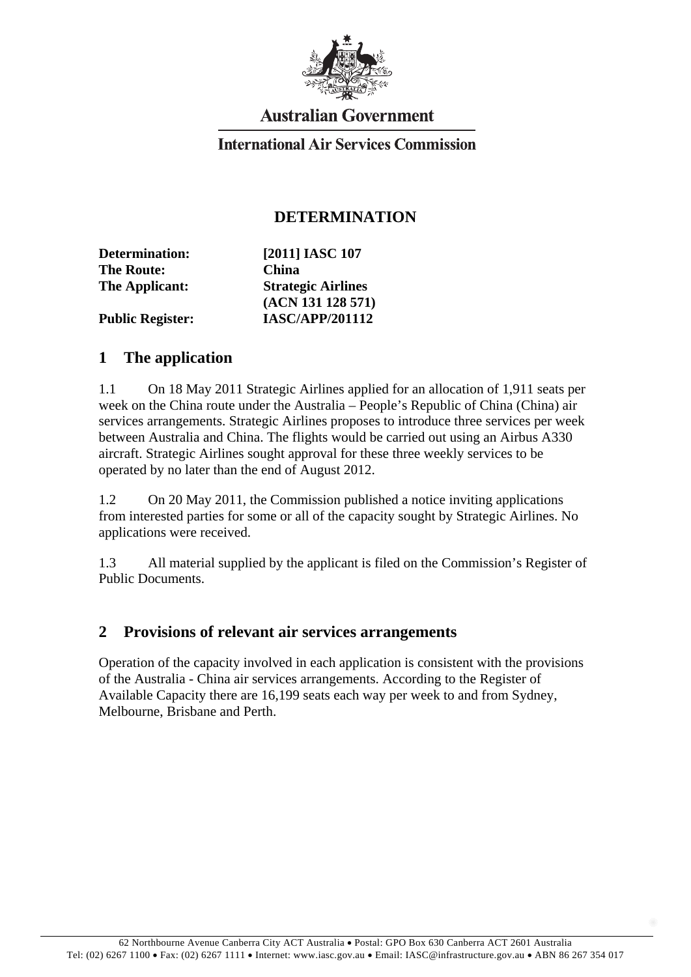

# **Australian Government**

### **International Air Services Commission**

### **DETERMINATION**

| [2011] IASC 107           |
|---------------------------|
| <b>China</b>              |
| <b>Strategic Airlines</b> |
| (ACN 131 128 571)         |
| <b>IASC/APP/201112</b>    |
|                           |

#### **1 The application**

1.1 On 18 May 2011 Strategic Airlines applied for an allocation of 1,911 seats per week on the China route under the Australia – People's Republic of China (China) air services arrangements. Strategic Airlines proposes to introduce three services per week between Australia and China. The flights would be carried out using an Airbus A330 aircraft. Strategic Airlines sought approval for these three weekly services to be operated by no later than the end of August 2012.

1.2 On 20 May 2011, the Commission published a notice inviting applications from interested parties for some or all of the capacity sought by Strategic Airlines. No applications were received.

1.3 All material supplied by the applicant is filed on the Commission's Register of Public Documents.

#### **2 Provisions of relevant air services arrangements**

Operation of the capacity involved in each application is consistent with the provisions of the Australia - China air services arrangements. According to the Register of Available Capacity there are 16,199 seats each way per week to and from Sydney, Melbourne, Brisbane and Perth.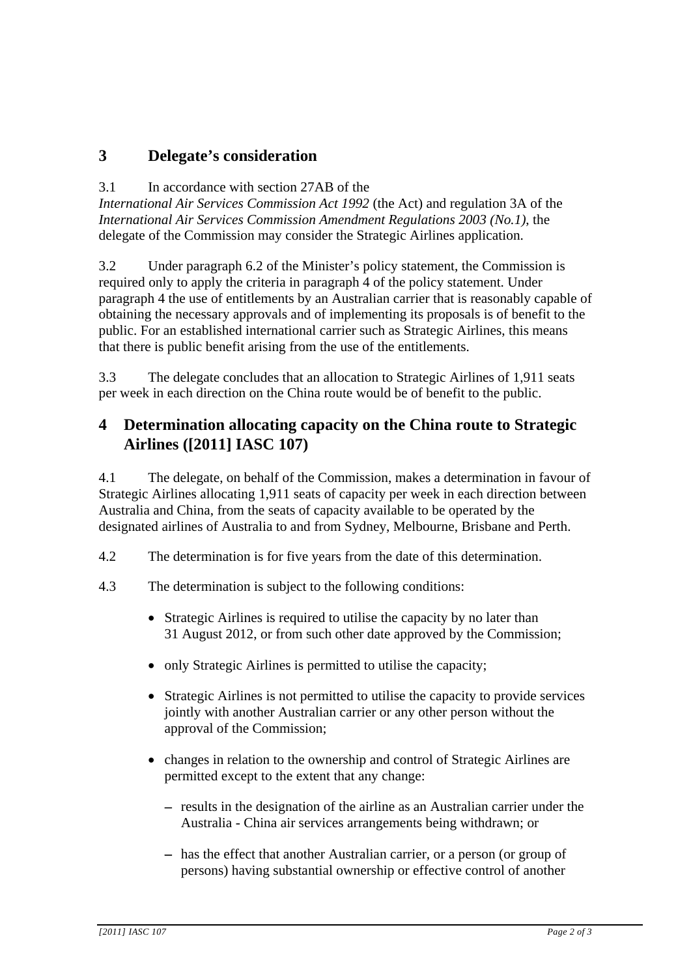## **3 Delegate's consideration**

#### 3.1 In accordance with section 27AB of the

*International Air Services Commission Act 1992* (the Act) and regulation 3A of the *International Air Services Commission Amendment Regulations 2003 (No.1)*, the delegate of the Commission may consider the Strategic Airlines application.

3.2 Under paragraph 6.2 of the Minister's policy statement, the Commission is required only to apply the criteria in paragraph 4 of the policy statement. Under paragraph 4 the use of entitlements by an Australian carrier that is reasonably capable of obtaining the necessary approvals and of implementing its proposals is of benefit to the public. For an established international carrier such as Strategic Airlines, this means that there is public benefit arising from the use of the entitlements.

3.3 The delegate concludes that an allocation to Strategic Airlines of 1,911 seats per week in each direction on the China route would be of benefit to the public.

## **4 Determination allocating capacity on the China route to Strategic Airlines ([2011] IASC 107)**

4.1 The delegate, on behalf of the Commission, makes a determination in favour of Strategic Airlines allocating 1,911 seats of capacity per week in each direction between Australia and China, from the seats of capacity available to be operated by the designated airlines of Australia to and from Sydney, Melbourne, Brisbane and Perth.

- 4.2 The determination is for five years from the date of this determination.
- 4.3 The determination is subject to the following conditions:
	- Strategic Airlines is required to utilise the capacity by no later than 31 August 2012, or from such other date approved by the Commission;
	- only Strategic Airlines is permitted to utilise the capacity;
	- Strategic Airlines is not permitted to utilise the capacity to provide services jointly with another Australian carrier or any other person without the approval of the Commission;
	- changes in relation to the ownership and control of Strategic Airlines are permitted except to the extent that any change:
		- − results in the designation of the airline as an Australian carrier under the Australia - China air services arrangements being withdrawn; or
		- − has the effect that another Australian carrier, or a person (or group of persons) having substantial ownership or effective control of another